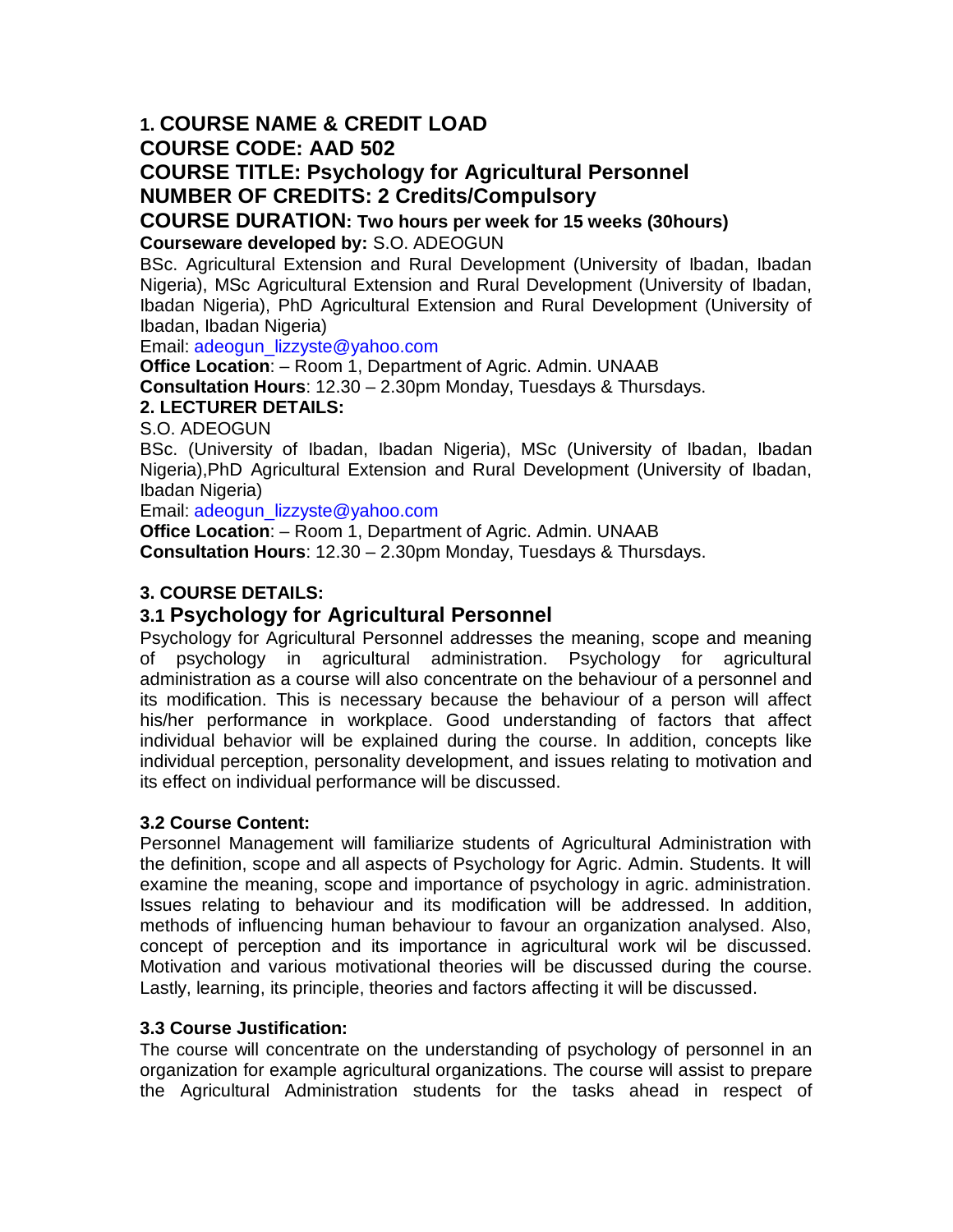# **1. COURSE NAME & CREDIT LOAD**

**COURSE CODE: AAD 502**

# **COURSE TITLE: Psychology for Agricultural Personnel NUMBER OF CREDITS: 2 Credits/Compulsory**

# **COURSE DURATION: Two hours per week for 15 weeks (30hours)**

**Courseware developed by:** S.O. ADEOGUN

BSc. Agricultural Extension and Rural Development (University of Ibadan, Ibadan Nigeria), MSc Agricultural Extension and Rural Development (University of Ibadan, Ibadan Nigeria), PhD Agricultural Extension and Rural Development (University of Ibadan, Ibadan Nigeria)

Email: adeogun\_lizzyste@yahoo.com

**Office Location**: – Room 1, Department of Agric. Admin. UNAAB **Consultation Hours**: 12.30 – 2.30pm Monday, Tuesdays & Thursdays.

# **2. LECTURER DETAILS:**

S.O. ADEOGUN

BSc. (University of Ibadan, Ibadan Nigeria), MSc (University of Ibadan, Ibadan Nigeria),PhD Agricultural Extension and Rural Development (University of Ibadan, Ibadan Nigeria)

Email: adeogun\_lizzyste@yahoo.com

**Office Location**: – Room 1, Department of Agric. Admin. UNAAB **Consultation Hours**: 12.30 – 2.30pm Monday, Tuesdays & Thursdays.

# **3. COURSE DETAILS:**

# **3.1 Psychology for Agricultural Personnel**

Psychology for Agricultural Personnel addresses the meaning, scope and meaning of psychology in agricultural administration. Psychology for agricultural administration as a course will also concentrate on the behaviour of a personnel and its modification. This is necessary because the behaviour of a person will affect his/her performance in workplace. Good understanding of factors that affect individual behavior will be explained during the course. In addition, concepts like individual perception, personality development, and issues relating to motivation and its effect on individual performance will be discussed.

# **3.2 Course Content:**

Personnel Management will familiarize students of Agricultural Administration with the definition, scope and all aspects of Psychology for Agric. Admin. Students. It will examine the meaning, scope and importance of psychology in agric. administration. Issues relating to behaviour and its modification will be addressed. In addition, methods of influencing human behaviour to favour an organization analysed. Also, concept of perception and its importance in agricultural work wil be discussed. Motivation and various motivational theories will be discussed during the course. Lastly, learning, its principle, theories and factors affecting it will be discussed.

# **3.3 Course Justification:**

The course will concentrate on the understanding of psychology of personnel in an organization for example agricultural organizations. The course will assist to prepare the Agricultural Administration students for the tasks ahead in respect of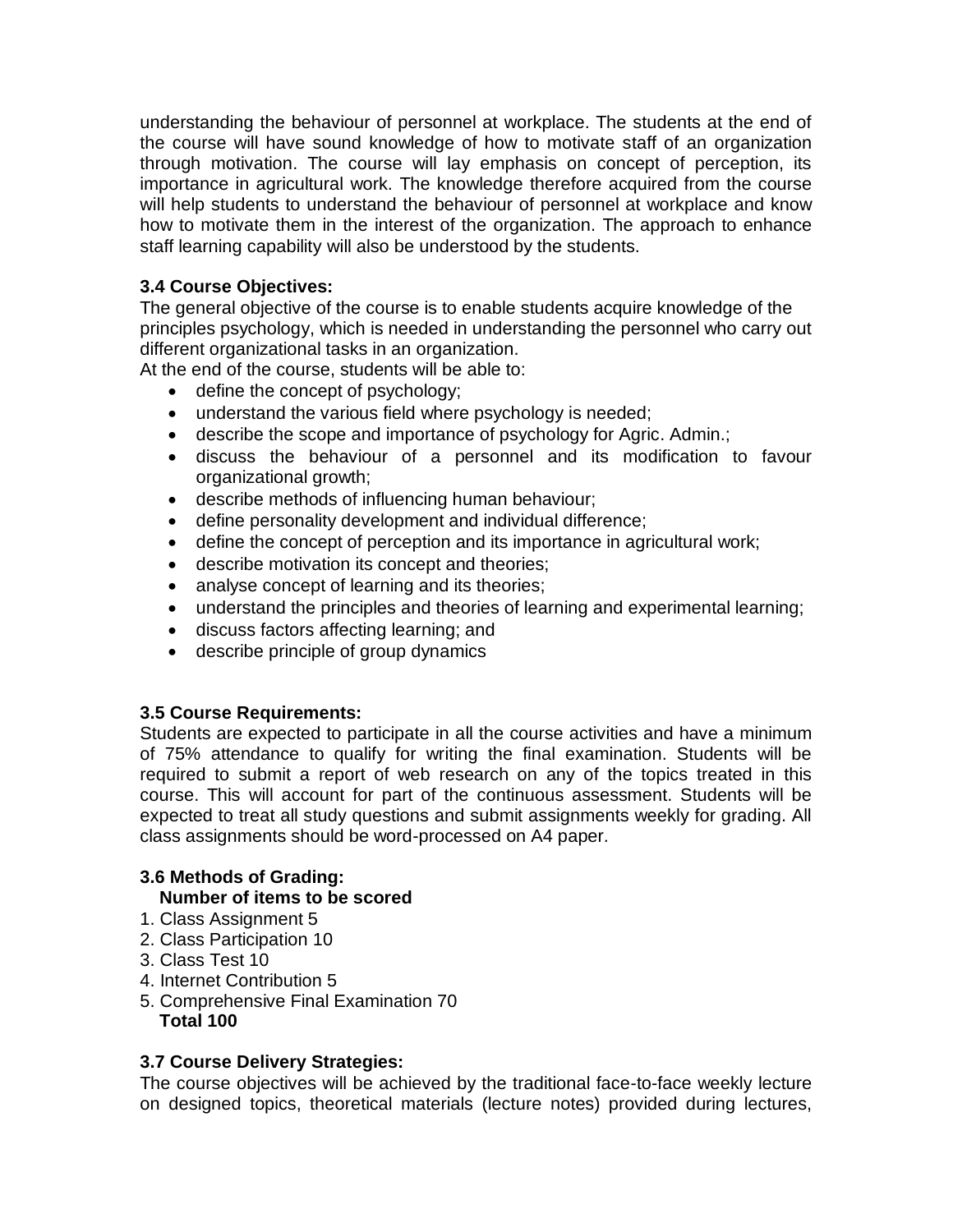understanding the behaviour of personnel at workplace. The students at the end of the course will have sound knowledge of how to motivate staff of an organization through motivation. The course will lay emphasis on concept of perception, its importance in agricultural work. The knowledge therefore acquired from the course will help students to understand the behaviour of personnel at workplace and know how to motivate them in the interest of the organization. The approach to enhance staff learning capability will also be understood by the students.

# **3.4 Course Objectives:**

The general objective of the course is to enable students acquire knowledge of the principles psychology, which is needed in understanding the personnel who carry out different organizational tasks in an organization.

At the end of the course, students will be able to:

- define the concept of psychology;
- understand the various field where psychology is needed;
- describe the scope and importance of psychology for Agric. Admin.;
- discuss the behaviour of a personnel and its modification to favour organizational growth;
- describe methods of influencing human behaviour;
- define personality development and individual difference;
- define the concept of perception and its importance in agricultural work;
- describe motivation its concept and theories;
- analyse concept of learning and its theories;
- understand the principles and theories of learning and experimental learning;
- discuss factors affecting learning; and
- describe principle of group dynamics

# **3.5 Course Requirements:**

Students are expected to participate in all the course activities and have a minimum of 75% attendance to qualify for writing the final examination. Students will be required to submit a report of web research on any of the topics treated in this course. This will account for part of the continuous assessment. Students will be expected to treat all study questions and submit assignments weekly for grading. All class assignments should be word-processed on A4 paper.

# **3.6 Methods of Grading:**

# **Number of items to be scored**

- 1. Class Assignment 5
- 2. Class Participation 10
- 3. Class Test 10
- 4. Internet Contribution 5
- 5. Comprehensive Final Examination 70  **Total 100**

# **3.7 Course Delivery Strategies:**

The course objectives will be achieved by the traditional face-to-face weekly lecture on designed topics, theoretical materials (lecture notes) provided during lectures,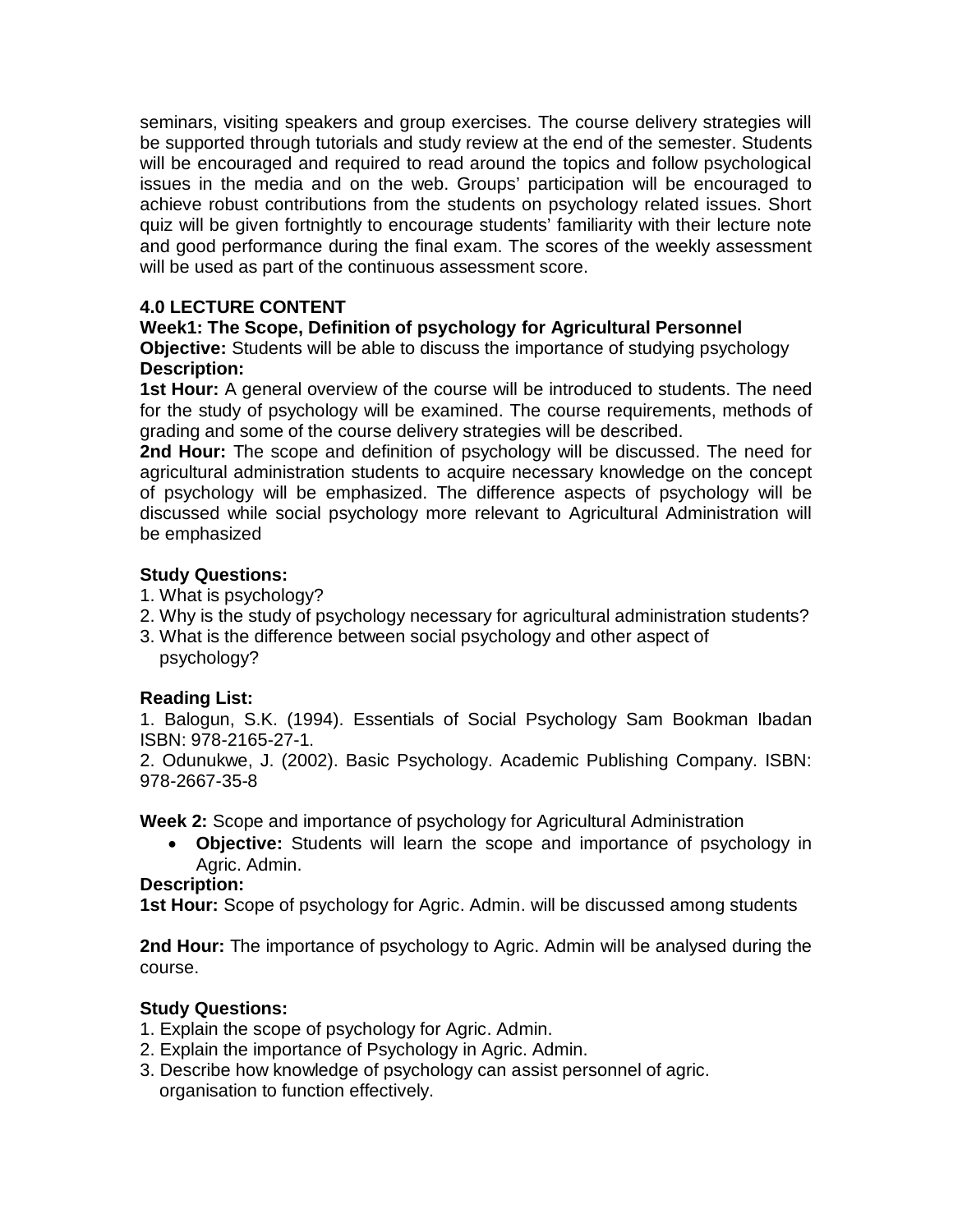seminars, visiting speakers and group exercises. The course delivery strategies will be supported through tutorials and study review at the end of the semester. Students will be encouraged and required to read around the topics and follow psychological issues in the media and on the web. Groups' participation will be encouraged to achieve robust contributions from the students on psychology related issues. Short quiz will be given fortnightly to encourage students' familiarity with their lecture note and good performance during the final exam. The scores of the weekly assessment will be used as part of the continuous assessment score.

# **4.0 LECTURE CONTENT**

# **Week1: The Scope, Definition of psychology for Agricultural Personnel**

**Objective:** Students will be able to discuss the importance of studying psychology **Description:**

**1st Hour:** A general overview of the course will be introduced to students. The need for the study of psychology will be examined. The course requirements, methods of grading and some of the course delivery strategies will be described.

**2nd Hour:** The scope and definition of psychology will be discussed. The need for agricultural administration students to acquire necessary knowledge on the concept of psychology will be emphasized. The difference aspects of psychology will be discussed while social psychology more relevant to Agricultural Administration will be emphasized

#### **Study Questions:**

- 1. What is psychology?
- 2. Why is the study of psychology necessary for agricultural administration students?
- 3. What is the difference between social psychology and other aspect of psychology?

# **Reading List:**

1. Balogun, S.K. (1994). Essentials of Social Psychology Sam Bookman Ibadan ISBN: 978-2165-27-1.

2. Odunukwe, J. (2002). Basic Psychology. Academic Publishing Company. ISBN: 978-2667-35-8

**Week 2:** Scope and importance of psychology for Agricultural Administration

 **Objective:** Students will learn the scope and importance of psychology in Agric. Admin.

# **Description:**

**1st Hour:** Scope of psychology for Agric. Admin. will be discussed among students

**2nd Hour:** The importance of psychology to Agric. Admin will be analysed during the course.

# **Study Questions:**

- 1. Explain the scope of psychology for Agric. Admin.
- 2. Explain the importance of Psychology in Agric. Admin.
- 3. Describe how knowledge of psychology can assist personnel of agric. organisation to function effectively.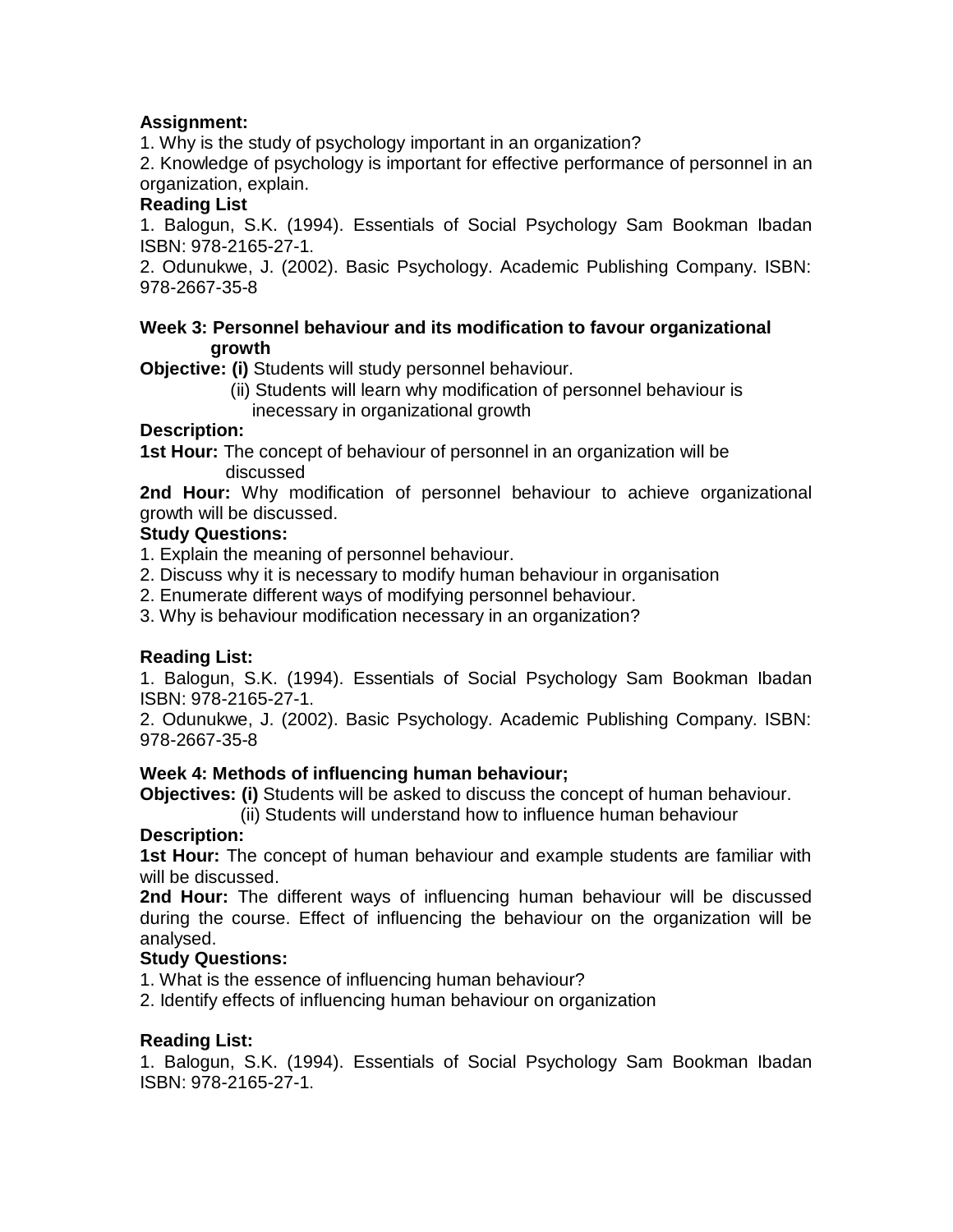# **Assignment:**

1. Why is the study of psychology important in an organization?

2. Knowledge of psychology is important for effective performance of personnel in an organization, explain.

# **Reading List**

1. Balogun, S.K. (1994). Essentials of Social Psychology Sam Bookman Ibadan ISBN: 978-2165-27-1.

2. Odunukwe, J. (2002). Basic Psychology. Academic Publishing Company. ISBN: 978-2667-35-8

#### **Week 3: Personnel behaviour and its modification to favour organizational growth**

**Objective: (i)** Students will study personnel behaviour.

 (ii) Students will learn why modification of personnel behaviour is inecessary in organizational growth

# **Description:**

**1st Hour:** The concept of behaviour of personnel in an organization will be discussed

**2nd Hour:** Why modification of personnel behaviour to achieve organizational growth will be discussed.

# **Study Questions:**

- 1. Explain the meaning of personnel behaviour.
- 2. Discuss why it is necessary to modify human behaviour in organisation
- 2. Enumerate different ways of modifying personnel behaviour.
- 3. Why is behaviour modification necessary in an organization?

# **Reading List:**

1. Balogun, S.K. (1994). Essentials of Social Psychology Sam Bookman Ibadan ISBN: 978-2165-27-1.

2. Odunukwe, J. (2002). Basic Psychology. Academic Publishing Company. ISBN: 978-2667-35-8

# **Week 4: Methods of influencing human behaviour;**

**Objectives: (i)** Students will be asked to discuss the concept of human behaviour.

(ii) Students will understand how to influence human behaviour

# **Description:**

**1st Hour:** The concept of human behaviour and example students are familiar with will be discussed.

**2nd Hour:** The different ways of influencing human behaviour will be discussed during the course. Effect of influencing the behaviour on the organization will be analysed.

# **Study Questions:**

1. What is the essence of influencing human behaviour?

2. Identify effects of influencing human behaviour on organization

# **Reading List:**

1. Balogun, S.K. (1994). Essentials of Social Psychology Sam Bookman Ibadan ISBN: 978-2165-27-1.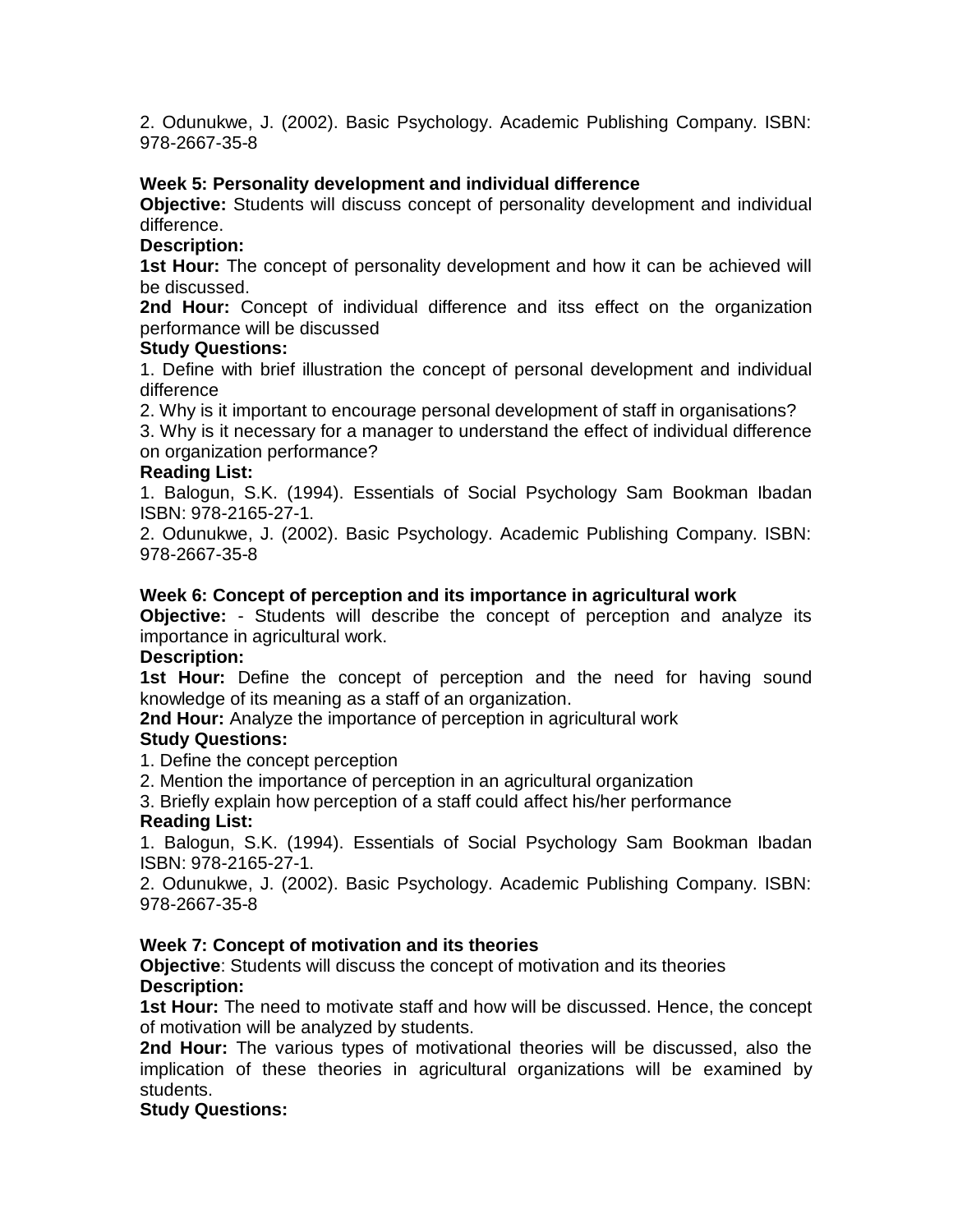2. Odunukwe, J. (2002). Basic Psychology. Academic Publishing Company. ISBN: 978-2667-35-8

#### **Week 5: Personality development and individual difference**

**Objective:** Students will discuss concept of personality development and individual difference.

#### **Description:**

**1st Hour:** The concept of personality development and how it can be achieved will be discussed.

**2nd Hour:** Concept of individual difference and itss effect on the organization performance will be discussed

#### **Study Questions:**

1. Define with brief illustration the concept of personal development and individual difference

2. Why is it important to encourage personal development of staff in organisations?

3. Why is it necessary for a manager to understand the effect of individual difference on organization performance?

#### **Reading List:**

1. Balogun, S.K. (1994). Essentials of Social Psychology Sam Bookman Ibadan ISBN: 978-2165-27-1.

2. Odunukwe, J. (2002). Basic Psychology. Academic Publishing Company. ISBN: 978-2667-35-8

#### **Week 6: Concept of perception and its importance in agricultural work**

**Objective:** - Students will describe the concept of perception and analyze its importance in agricultural work.

#### **Description:**

**1st Hour:** Define the concept of perception and the need for having sound knowledge of its meaning as a staff of an organization.

**2nd Hour:** Analyze the importance of perception in agricultural work

# **Study Questions:**

1. Define the concept perception

2. Mention the importance of perception in an agricultural organization

3. Briefly explain how perception of a staff could affect his/her performance

#### **Reading List:**

1. Balogun, S.K. (1994). Essentials of Social Psychology Sam Bookman Ibadan ISBN: 978-2165-27-1.

2. Odunukwe, J. (2002). Basic Psychology. Academic Publishing Company. ISBN: 978-2667-35-8

#### **Week 7: Concept of motivation and its theories**

**Objective**: Students will discuss the concept of motivation and its theories **Description:**

**1st Hour:** The need to motivate staff and how will be discussed. Hence, the concept of motivation will be analyzed by students.

**2nd Hour:** The various types of motivational theories will be discussed, also the implication of these theories in agricultural organizations will be examined by students.

#### **Study Questions:**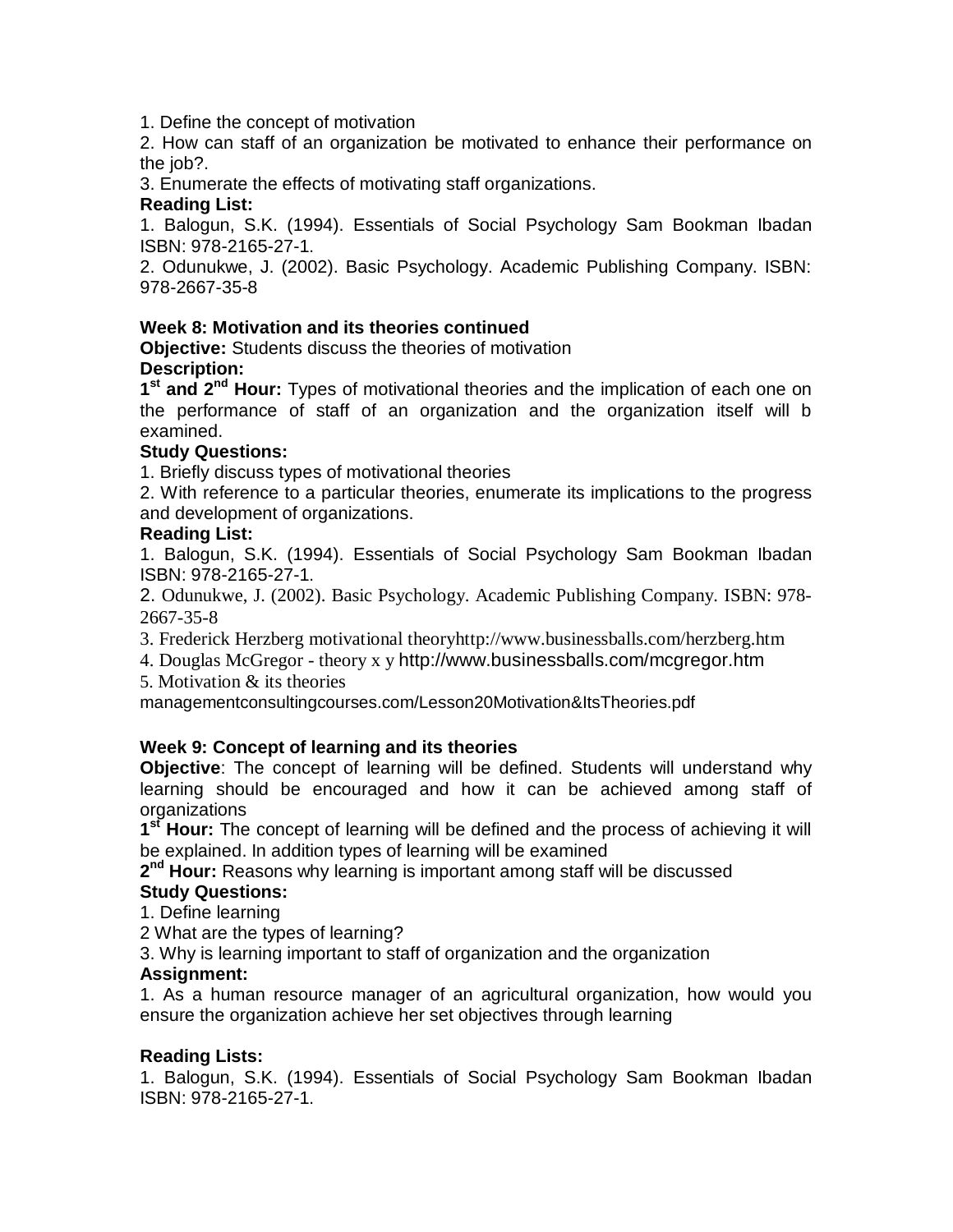1. Define the concept of motivation

2. How can staff of an organization be motivated to enhance their performance on the job?.

3. Enumerate the effects of motivating staff organizations.

# **Reading List:**

1. Balogun, S.K. (1994). Essentials of Social Psychology Sam Bookman Ibadan ISBN: 978-2165-27-1.

2. Odunukwe, J. (2002). Basic Psychology. Academic Publishing Company. ISBN: 978-2667-35-8

# **Week 8: Motivation and its theories continued**

**Objective:** Students discuss the theories of motivation

# **Description:**

1<sup>st</sup> and 2<sup>nd</sup> Hour: Types of motivational theories and the implication of each one on the performance of staff of an organization and the organization itself will b examined.

# **Study Questions:**

1. Briefly discuss types of motivational theories

2. With reference to a particular theories, enumerate its implications to the progress and development of organizations.

#### **Reading List:**

1. Balogun, S.K. (1994). Essentials of Social Psychology Sam Bookman Ibadan ISBN: 978-2165-27-1.

2. Odunukwe, J. (2002). Basic Psychology. Academic Publishing Company. ISBN: 978- 2667-35-8

- 3. Frederick Herzberg motivational theoryhttp://www.businessballs.com/herzberg.htm
- 4. Douglas McGregor theory x y http://www.businessballs.com/mcgregor.htm
- 5. Motivation & its theories

managementconsultingcourses.com/Lesson20Motivation&ItsTheories.pdf

# **Week 9: Concept of learning and its theories**

**Objective**: The concept of learning will be defined. Students will understand why learning should be encouraged and how it can be achieved among staff of organizations

1<sup>st</sup> Hour: The concept of learning will be defined and the process of achieving it will be explained. In addition types of learning will be examined

2<sup>nd</sup> Hour: Reasons why learning is important among staff will be discussed

# **Study Questions:**

1. Define learning

2 What are the types of learning?

3. Why is learning important to staff of organization and the organization

# **Assignment:**

1. As a human resource manager of an agricultural organization, how would you ensure the organization achieve her set objectives through learning

# **Reading Lists:**

1. Balogun, S.K. (1994). Essentials of Social Psychology Sam Bookman Ibadan ISBN: 978-2165-27-1.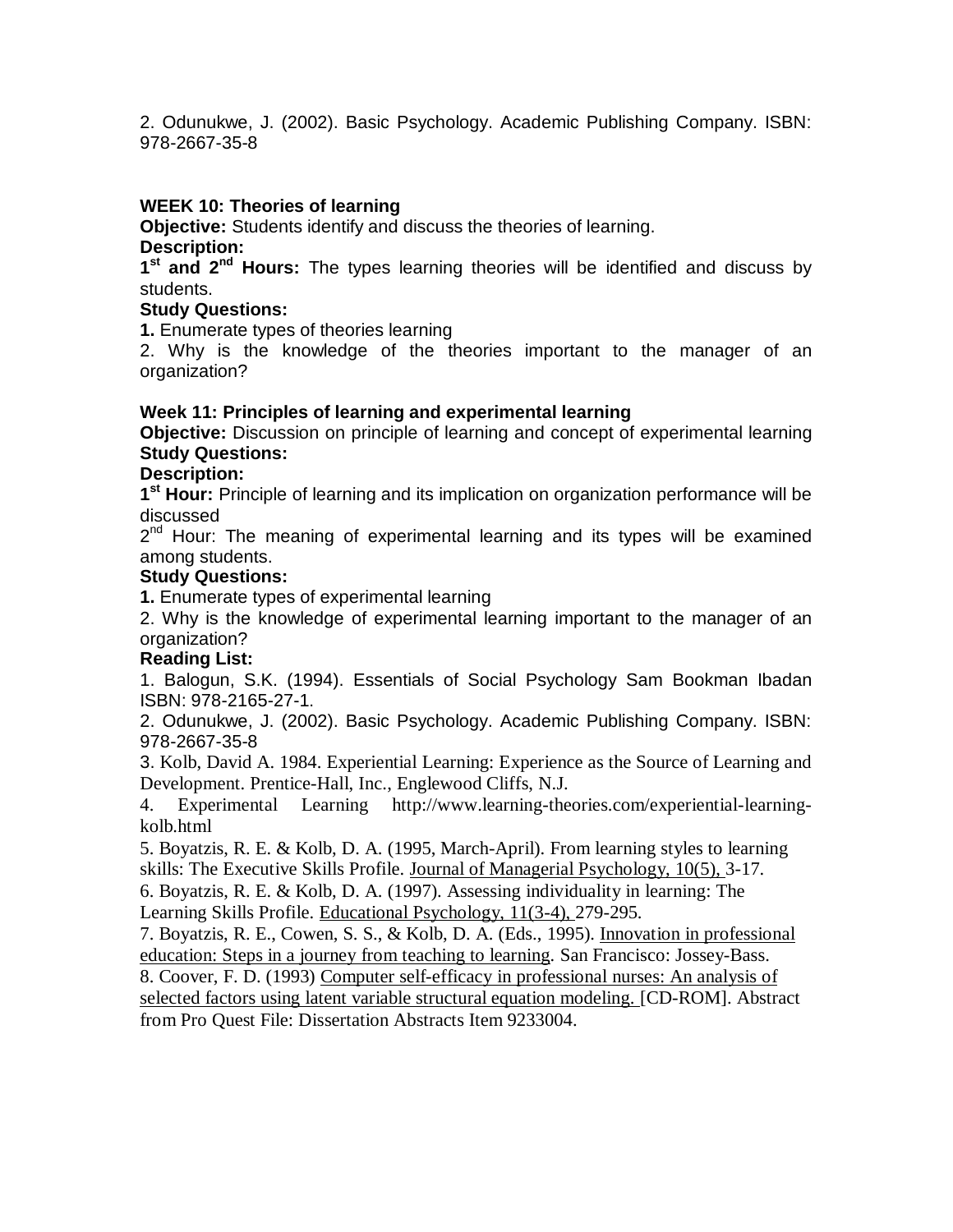2. Odunukwe, J. (2002). Basic Psychology. Academic Publishing Company. ISBN: 978-2667-35-8

#### **WEEK 10: Theories of learning**

**Objective:** Students identify and discuss the theories of learning. **Description:**

**1 st and 2nd Hours:** The types learning theories will be identified and discuss by students.

#### **Study Questions:**

**1.** Enumerate types of theories learning

2. Why is the knowledge of the theories important to the manager of an organization?

#### **Week 11: Principles of learning and experimental learning**

**Objective:** Discussion on principle of learning and concept of experimental learning **Study Questions:**

#### **Description:**

1<sup>st</sup> Hour: Principle of learning and its implication on organization performance will be discussed

2<sup>nd</sup> Hour: The meaning of experimental learning and its types will be examined among students.

#### **Study Questions:**

**1.** Enumerate types of experimental learning

2. Why is the knowledge of experimental learning important to the manager of an organization?

# **Reading List:**

1. Balogun, S.K. (1994). Essentials of Social Psychology Sam Bookman Ibadan ISBN: 978-2165-27-1.

2. Odunukwe, J. (2002). Basic Psychology. Academic Publishing Company. ISBN: 978-2667-35-8

3. Kolb, David A. 1984. Experiential Learning: Experience as the Source of Learning and Development. Prentice-Hall, Inc., Englewood Cliffs, N.J.

4. Experimental Learning http://www.learning-theories.com/experiential-learningkolb.html

5. Boyatzis, R. E. & Kolb, D. A. (1995, March-April). From learning styles to learning skills: The Executive Skills Profile. Journal of Managerial Psychology, 10(5), 3-17.

6. Boyatzis, R. E. & Kolb, D. A. (1997). Assessing individuality in learning: The Learning Skills Profile. Educational Psychology, 11(3-4), 279-295.

7. Boyatzis, R. E., Cowen, S. S., & Kolb, D. A. (Eds., 1995). Innovation in professional education: Steps in a journey from teaching to learning*.* San Francisco: Jossey-Bass.

8. Coover, F. D. (1993) Computer self-efficacy in professional nurses: An analysis of selected factors using latent variable structural equation modeling. [CD-ROM]. Abstract from Pro Quest File: Dissertation Abstracts Item 9233004.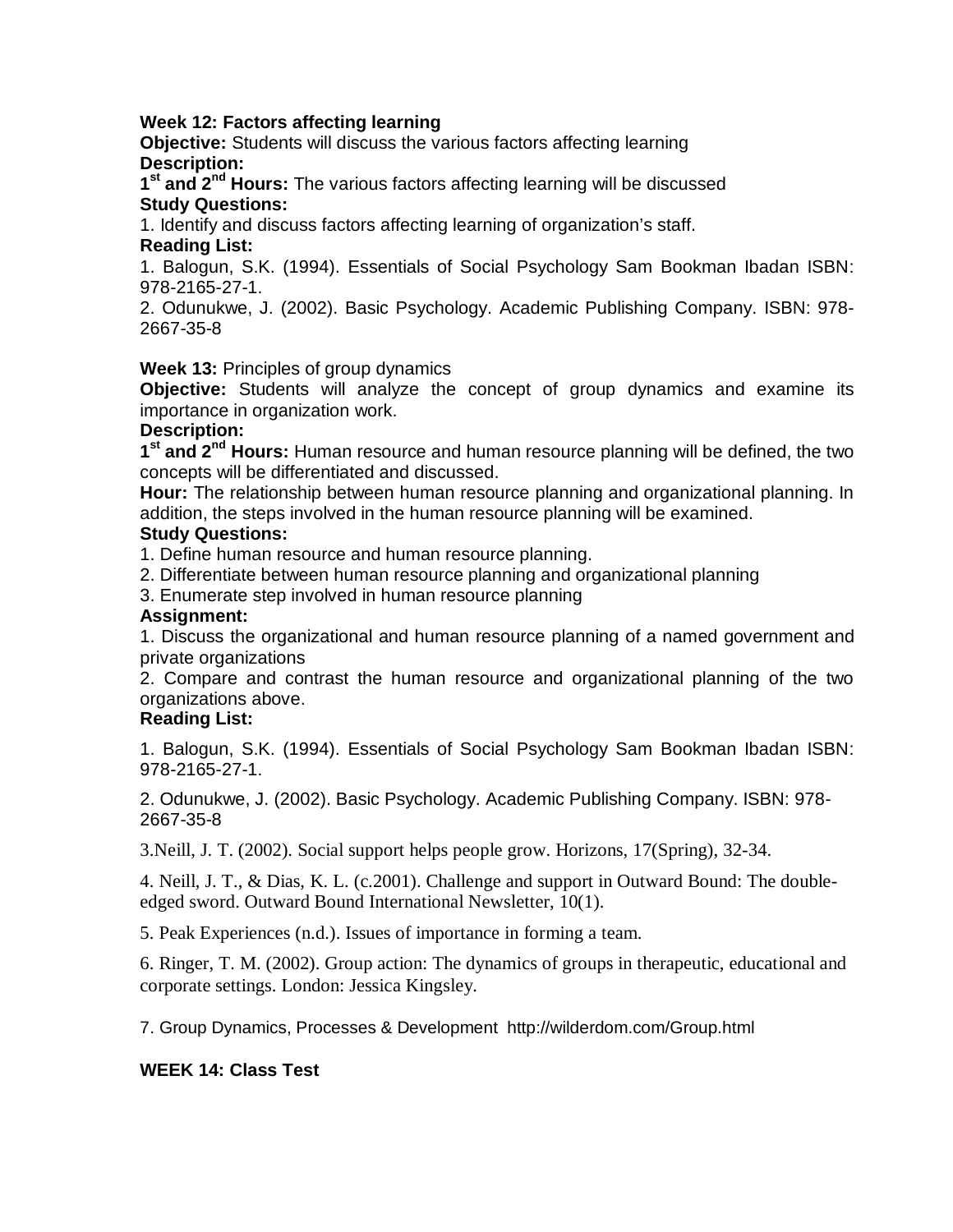#### **Week 12: Factors affecting learning**

**Objective:** Students will discuss the various factors affecting learning **Description:**

1<sup>st</sup> and 2<sup>nd</sup> Hours: The various factors affecting learning will be discussed **Study Questions:**

1. Identify and discuss factors affecting learning of organization's staff. **Reading List:**

#### 1. Balogun, S.K. (1994). Essentials of Social Psychology Sam Bookman Ibadan ISBN: 978-2165-27-1.

2. Odunukwe, J. (2002). Basic Psychology. Academic Publishing Company. ISBN: 978- 2667-35-8

#### **Week 13:** Principles of group dynamics

**Objective:** Students will analyze the concept of group dynamics and examine its importance in organization work.

#### **Description:**

**1 st and 2nd Hours:** Human resource and human resource planning will be defined, the two concepts will be differentiated and discussed.

**Hour:** The relationship between human resource planning and organizational planning. In addition, the steps involved in the human resource planning will be examined.

#### **Study Questions:**

1. Define human resource and human resource planning.

- 2. Differentiate between human resource planning and organizational planning
- 3. Enumerate step involved in human resource planning

#### **Assignment:**

1. Discuss the organizational and human resource planning of a named government and private organizations

2. Compare and contrast the human resource and organizational planning of the two organizations above.

#### **Reading List:**

1. Balogun, S.K. (1994). Essentials of Social Psychology Sam Bookman Ibadan ISBN: 978-2165-27-1.

2. Odunukwe, J. (2002). Basic Psychology. Academic Publishing Company. ISBN: 978- 2667-35-8

3.Neill, J. T. (2002). Social support helps people grow. Horizons, 17(Spring), 32-34.

4. Neill, J. T., & Dias, K. L. (c.2001). Challenge and support in Outward Bound: The doubleedged sword. Outward Bound International Newsletter, 10(1).

5. Peak Experiences (n.d.). Issues of importance in forming a team.

6. Ringer, T. M. (2002). Group action: The dynamics of groups in therapeutic, educational and corporate settings. London: Jessica Kingsley.

7. Group Dynamics, Processes & Development http://wilderdom.com/Group.html

# **WEEK 14: Class Test**